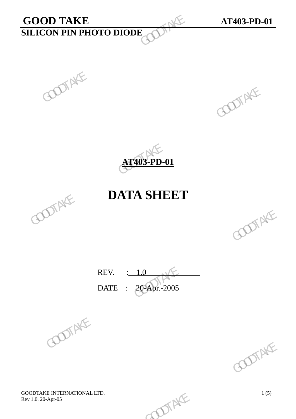# **GOOD TAKE AT403-PD-01**<br>**SILICON PIN PHOTO DIODE SILICON PIN PHOTO DIODE**  GOOD TAKE<br>
GOOD TAKE<br>
GOOD TAKE<br>
GOOD TAKE<br>
GOOD TAKE





## **DATA SHEET**



REV. : 1.0 DATE : 20-Apr.-2005 REV.  $\frac{1.0}{20-2005}$  GOOTAKE





GOODTAKE INTERNATIONAL LTD.<br>
Rev 1.0. 20-Apr-05 1(5) Rev 1.0. 20-Apr-05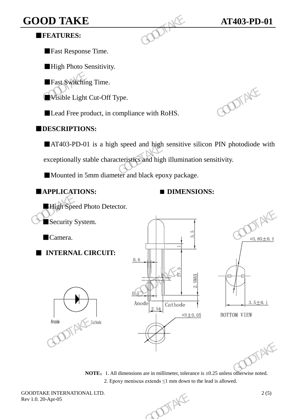## **GOOD TAKE AT403-PD-01 <b>AT403-PD-01**

## ■**FEATURES:**

■Fast Response Time.

**High Photo Sensitivity.** 

■Fast Switching Time.

■Visible Light Cut-Off Type.

■ Lead Free product, in compliance with RoHS.

### ■**DESCRIPTIONS:**

■AT403-PD-01 is a high speed and high sensitive silicon PIN photodiode with GOOD TAKE<br>
FEATURES:<br>
Fast Response Time.<br>
High Photo Sensitivity.<br>
Fast Switching Time.<br>
Wisible Light Cut-Off Type.<br>
Lead Free product, in compliance with RoHS.<br>
DESCRIPTIONS:<br>
AT403-PD-01 is a high speed and high sensit

exceptionally stable characteristics and high illumination sensitivity.

■Mounted in 5mm diameter and black epoxy package.



■High Speed Photo Detector. Security System. ■Camera. ■ **INTERNAL CIRCUIT: Example Example Solution**<br> **Example Secure Secure Secure Secure Secure Secure Secure Secure Secure Secure Secure Secure Secure Secure Secure Secure Secure Secure Secure Secure Secure Secure Security System.<br>
Connect and** Security System.<br>
Camera.<br>
INTERNAL CIRCUIT:<br>  $\frac{0.6}{0.5}$ <br>
Anode<br>  $\frac{0.5}{2.54}$  Cathode<br>
Anode<br>  $\frac{2.54}{0.5}$  Cathode<br>
BOTTOM VIEW<br>
BOTTOM VIEW Anode<br>  $2.54$  Cathode<br>  $2.54$  Cathode<br>  $-3.52 - 0.5$ <br>
BOTTOM VIEW<br>
BOTTOM VIEW<br>  $\therefore$  BOTTOM VIEW<br>
SULTER SULTANT SULTER SULTER SULTER SULTER SULTER SULTER SURVEY SURVEY SURVEY SURVEY SURVEY SURVEY SURVEY SURVEY SURVEY SUR



GOODTAKE INTERNATIONAL LTD.  $2(5)$ <br>Rev 1.0. 20-Apr-05 Rev 1.0. 20-Apr-05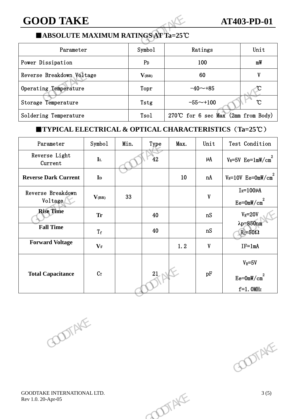## ■**ABSOLUTE MAXIMUM RATINGS AT Ta=25**℃

| <b>GOOD TAKE</b>                                                           |                |                |                    |                                       | <b>AT403-PD-01</b> |    |                                   |
|----------------------------------------------------------------------------|----------------|----------------|--------------------|---------------------------------------|--------------------|----|-----------------------------------|
| ■ABSOLUTE MAXIMUM RATINGS AT Ta=25°C                                       |                |                |                    |                                       |                    |    |                                   |
| Parameter                                                                  |                |                | Symbo1             | Ratings                               |                    |    | Unit                              |
| Power Dissipation                                                          |                | P <sub>D</sub> | 100                |                                       |                    | mW |                                   |
| Reverse Breakdown Voltage                                                  |                | $V_{(BR)}$     | 60                 |                                       |                    | V  |                                   |
| Operating Temperature                                                      |                | Topr           | $-40$ ~+85         |                                       |                    |    |                                   |
| Storage Temperature                                                        |                | Tstg           | °C<br>$-55 - +100$ |                                       |                    |    |                                   |
| Soldering Temperature                                                      |                |                | T <sub>so</sub> 1  | 270°C for 6 sec Max $(2mn$ from Body) |                    |    |                                   |
| <b>TYPICAL ELECTRICAL &amp; OPTICAL CHARACTERISTICS</b> $(Ta=25^{\circ}C)$ |                |                |                    |                                       |                    |    |                                   |
| Parameter                                                                  | Symbo1         | Min.           | Type               | Max.                                  | Unit               |    | Test Condition                    |
| Reverse Light<br>$C_{11}$ and $\sim$ +                                     | I <sub>L</sub> |                | 42                 |                                       | μA                 |    | $V_R = 5V$ Ee=1mW/cm <sup>2</sup> |

## ■**TYPICAL ELECTRICAL & OPTICAL CHARACTERISTICS**(**Ta=25**℃)

| Operating lemperature        |                           |      | 10pr |      | $-40$ ~+85                | C                                                                 |
|------------------------------|---------------------------|------|------|------|---------------------------|-------------------------------------------------------------------|
| Storage Temperature          |                           |      | Tstg |      | $-55 - +100$              | $^\circ \! \! \mathrm{C}$                                         |
| Soldering Temperature        |                           |      | Tsol |      |                           | 270°C for 6 sec Max $(2mn$ from Body)                             |
|                              |                           |      |      |      |                           | <b>TYPICAL ELECTRICAL &amp; OPTICAL CHARACTERISTICS (Ta=25°C)</b> |
| Parameter                    | Symbol                    | Min. | Type | Max. | Unit                      | Test Condition                                                    |
| Reverse Light<br>Current     | ${\bf I}$                 |      | 42   |      | $\mu\hbox{A}$             | $V_R = 5V$ Ee=1mW/cm <sup>2</sup>                                 |
| <b>Reverse Dark Current</b>  | $\mathbf{I}_{\mathbf{D}}$ |      |      | 10   | nA                        | $V_R = 10V$ Ee=OmW/cm <sup>2</sup>                                |
| Reverse Breakdown<br>Voltage | $V_{(BR)}$                | 33   |      |      | $\boldsymbol{\mathrm{V}}$ | $I_R = 100\mu A$<br>$Ee = 0mW/cm2$                                |
| <b>Rise Time</b>             | <b>Tr</b>                 |      | 40   |      | nS                        | $V_R = 20V$                                                       |
| <b>Fall Time</b>             | $\mathrm{T_{f}}$          |      | 40   |      | nS                        | $\lambda p = 850$ nm<br>$R_L = 50\Omega$                          |
| <b>Forward Voltage</b>       | $\mathbf{V}_\mathbf{F}$   |      |      | 1, 2 | $\boldsymbol{\mathrm{V}}$ | $IF=1mA$                                                          |
|                              |                           |      |      |      |                           | $V_R = 5V$                                                        |
| <b>Total Capacitance</b>     | $C_{T}$                   |      | 21   |      | pF                        | $Ee = 0mW/cm2$                                                    |
|                              |                           |      |      |      |                           | $f=1.0$ MHz                                                       |
| POOTAKE                      |                           |      |      |      |                           | POOTAKE                                                           |
|                              |                           |      |      |      |                           |                                                                   |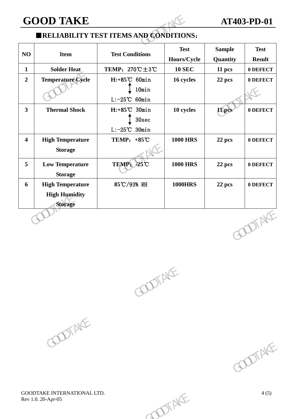**GOOD TAKE AT403-PD-01**

## ■**RELIABILITY TEST ITEMS AND CONDITIONS**:

| <b>GOOD TAKE</b>                                                  |                                                             | <b>AT403-PD-01</b>         |                                                |                              |
|-------------------------------------------------------------------|-------------------------------------------------------------|----------------------------|------------------------------------------------|------------------------------|
|                                                                   |                                                             |                            |                                                |                              |
| <b>Item</b>                                                       |                                                             | <b>Test</b><br>Hours/Cycle | <b>Sample</b><br>Quantity                      | <b>Test</b><br><b>Result</b> |
| <b>Solder Heat</b>                                                | TEMP: $270^{\circ}\text{C} \pm 3^{\circ}\text{C}$           | <b>10 SEC</b>              | 11 pcs                                         | 0 DEFECT                     |
| <b>Temperature Cycle</b>                                          | H:+85°C 60min<br>10min<br>$L: -25^{\circ}C$ 60min           | 16 cycles                  | 22 pcs                                         | 0 DEFECT                     |
| <b>Thermal Shock</b>                                              | $H: +85^{\circ}C$ 30min<br>30sec<br>$L: -25^{\circ}C$ 30min | 10 cycles                  | 11 pcs                                         | 0 DEFECT                     |
| <b>High Temperature</b><br><b>Storage</b>                         | TEMP: $+85^{\circ}$ C                                       | <b>1000 HRS</b>            | 22 pcs                                         | 0 DEFECT                     |
| <b>Low Temperature</b><br><b>Storage</b>                          | TEMP: -25°C                                                 | <b>1000 HRS</b>            | 22 pcs                                         | 0 DEFECT                     |
| <b>High Temperature</b><br><b>High Humidity</b><br><b>Storage</b> | 85℃/93% RH                                                  | <b>1000HRS</b>             | 22 pcs                                         | 0 DEFECT                     |
|                                                                   |                                                             |                            |                                                | <b>DOTAKE</b>                |
|                                                                   |                                                             | <b>Test Conditions</b>     | <b>ERELIABILITY TEST ITEMS AND CONDITIONS:</b> |                              |